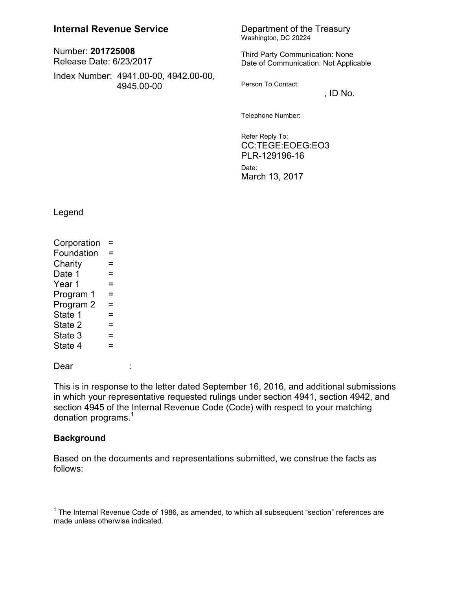## **Internal Revenue Service** Department of the Treasury

Number: **201725008** Release Date: 6/23/2017

Index Number: 4941.00-00, 4942.00-00, 4945.00-00

Washington, DC 20224

Third Party Communication: None Date of Communication: Not Applicable

Person To Contact:

 $,$  ID No.

Telephone Number:

Refer Reply To: CC:TEGE:EOEG:EO3 PLR-129196-16 Date: March 13, 2017

Legend

 $Corporation =$  $F$ oundation  $=$  $Charity =$ Date 1  $=$ Year  $1 =$ Program  $1 =$ Program  $2 =$ State 1  $=$ State  $2 =$ State  $3 =$ State  $4 =$ 

Dear :

 $\overline{a}$ 

This is in response to the letter dated September 16, 2016, and additional submissions in which your representative requested rulings under section 4941, section 4942, and section 4945 of the Internal Revenue Code (Code) with respect to your matching donation programs. $^{\rm 1}$ 

#### **Background**

Based on the documents and representations submitted, we construe the facts as follows:

 $1$  The Internal Revenue Code of 1986, as amended, to which all subsequent "section" references are made unless otherwise indicated.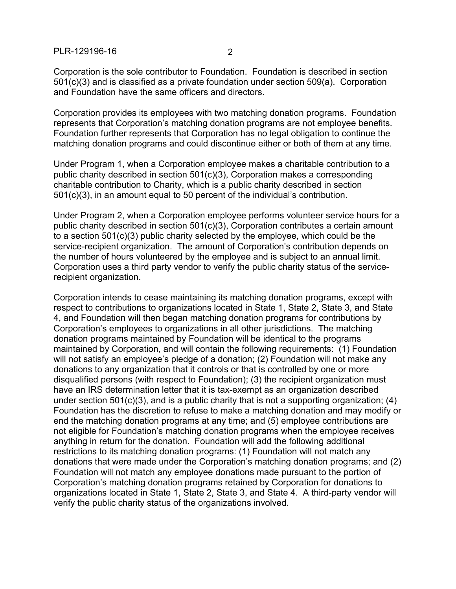Corporation is the sole contributor to Foundation. Foundation is described in section 501(c)(3) and is classified as a private foundation under section 509(a). Corporation and Foundation have the same officers and directors.

Corporation provides its employees with two matching donation programs. Foundation represents that Corporation's matching donation programs are not employee benefits. Foundation further represents that Corporation has no legal obligation to continue the matching donation programs and could discontinue either or both of them at any time.

Under Program 1, when a Corporation employee makes a charitable contribution to a public charity described in section 501(c)(3), Corporation makes a corresponding charitable contribution to Charity, which is a public charity described in section 501(c)(3), in an amount equal to 50 percent of the individual's contribution.

Under Program 2, when a Corporation employee performs volunteer service hours for a public charity described in section 501(c)(3), Corporation contributes a certain amount to a section 501(c)(3) public charity selected by the employee, which could be the service-recipient organization. The amount of Corporation's contribution depends on the number of hours volunteered by the employee and is subject to an annual limit. Corporation uses a third party vendor to verify the public charity status of the servicerecipient organization.

Corporation intends to cease maintaining its matching donation programs, except with respect to contributions to organizations located in State 1, State 2, State 3, and State 4, and Foundation will then began matching donation programs for contributions by Corporation's employees to organizations in all other jurisdictions. The matching donation programs maintained by Foundation will be identical to the programs maintained by Corporation, and will contain the following requirements: (1) Foundation will not satisfy an employee's pledge of a donation; (2) Foundation will not make any donations to any organization that it controls or that is controlled by one or more disqualified persons (with respect to Foundation); (3) the recipient organization must have an IRS determination letter that it is tax-exempt as an organization described under section 501(c)(3), and is a public charity that is not a supporting organization; (4) Foundation has the discretion to refuse to make a matching donation and may modify or end the matching donation programs at any time; and (5) employee contributions are not eligible for Foundation's matching donation programs when the employee receives anything in return for the donation. Foundation will add the following additional restrictions to its matching donation programs: (1) Foundation will not match any donations that were made under the Corporation's matching donation programs; and (2) Foundation will not match any employee donations made pursuant to the portion of Corporation's matching donation programs retained by Corporation for donations to organizations located in State 1, State 2, State 3, and State 4. A third-party vendor will verify the public charity status of the organizations involved.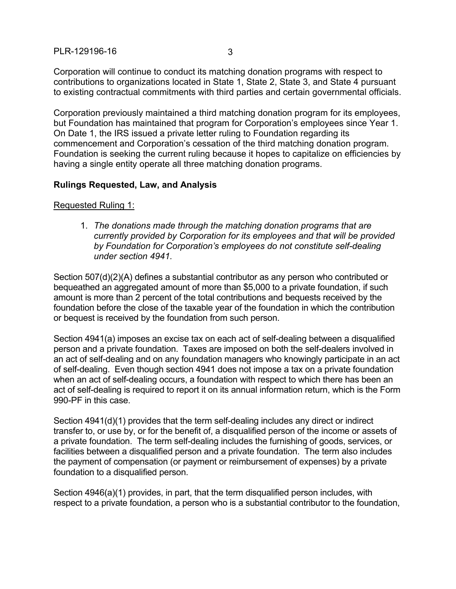Corporation will continue to conduct its matching donation programs with respect to contributions to organizations located in State 1, State 2, State 3, and State 4 pursuant to existing contractual commitments with third parties and certain governmental officials.

Corporation previously maintained a third matching donation program for its employees, but Foundation has maintained that program for Corporation's employees since Year 1. On Date 1, the IRS issued a private letter ruling to Foundation regarding its commencement and Corporation's cessation of the third matching donation program. Foundation is seeking the current ruling because it hopes to capitalize on efficiencies by having a single entity operate all three matching donation programs.

## **Rulings Requested, Law, and Analysis**

Requested Ruling 1:

1. *The donations made through the matching donation programs that are currently provided by Corporation for its employees and that will be provided by Foundation for Corporation's employees do not constitute self-dealing under section 4941.*

Section 507(d)(2)(A) defines a substantial contributor as any person who contributed or bequeathed an aggregated amount of more than \$5,000 to a private foundation, if such amount is more than 2 percent of the total contributions and bequests received by the foundation before the close of the taxable year of the foundation in which the contribution or bequest is received by the foundation from such person.

Section 4941(a) imposes an excise tax on each act of self-dealing between a disqualified person and a private foundation. Taxes are imposed on both the self-dealers involved in an act of self-dealing and on any foundation managers who knowingly participate in an act of self-dealing. Even though section 4941 does not impose a tax on a private foundation when an act of self-dealing occurs, a foundation with respect to which there has been an act of self-dealing is required to report it on its annual information return, which is the Form 990-PF in this case.

Section 4941(d)(1) provides that the term self-dealing includes any direct or indirect transfer to, or use by, or for the benefit of, a disqualified person of the income or assets of a private foundation. The term self-dealing includes the furnishing of goods, services, or facilities between a disqualified person and a private foundation. The term also includes the payment of compensation (or payment or reimbursement of expenses) by a private foundation to a disqualified person.

Section 4946(a)(1) provides, in part, that the term disqualified person includes, with respect to a private foundation, a person who is a substantial contributor to the foundation,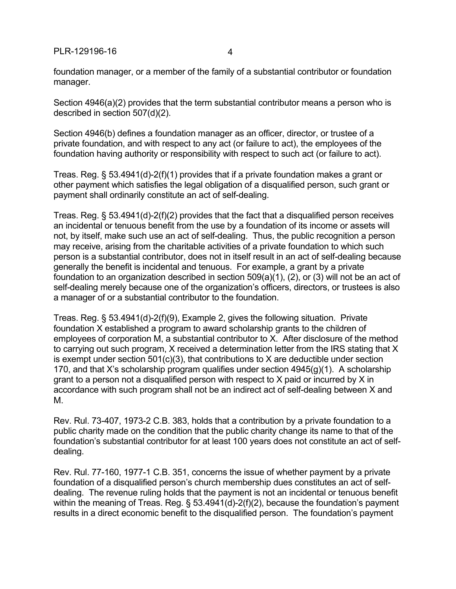foundation manager, or a member of the family of a substantial contributor or foundation manager.

Section 4946(a)(2) provides that the term substantial contributor means a person who is described in section 507(d)(2).

Section 4946(b) defines a foundation manager as an officer, director, or trustee of a private foundation, and with respect to any act (or failure to act), the employees of the foundation having authority or responsibility with respect to such act (or failure to act).

Treas. Reg. § 53.4941(d)-2(f)(1) provides that if a private foundation makes a grant or other payment which satisfies the legal obligation of a disqualified person, such grant or payment shall ordinarily constitute an act of self-dealing.

Treas. Reg. § 53.4941(d)-2(f)(2) provides that the fact that a disqualified person receives an incidental or tenuous benefit from the use by a foundation of its income or assets will not, by itself, make such use an act of self-dealing. Thus, the public recognition a person may receive, arising from the charitable activities of a private foundation to which such person is a substantial contributor, does not in itself result in an act of self-dealing because generally the benefit is incidental and tenuous. For example, a grant by a private foundation to an organization described in section 509(a)(1), (2), or (3) will not be an act of self-dealing merely because one of the organization's officers, directors, or trustees is also a manager of or a substantial contributor to the foundation.

Treas. Reg. § 53.4941(d)-2(f)(9), Example 2, gives the following situation. Private foundation X established a program to award scholarship grants to the children of employees of corporation M, a substantial contributor to X. After disclosure of the method to carrying out such program, X received a determination letter from the IRS stating that X is exempt under section  $501(c)(3)$ , that contributions to X are deductible under section 170, and that X's scholarship program qualifies under section  $4945(q)(1)$ . A scholarship grant to a person not a disqualified person with respect to X paid or incurred by X in accordance with such program shall not be an indirect act of self-dealing between X and M.

Rev. Rul. 73-407, 1973-2 C.B. 383, holds that a contribution by a private foundation to a public charity made on the condition that the public charity change its name to that of the foundation's substantial contributor for at least 100 years does not constitute an act of selfdealing.

Rev. Rul. 77-160, 1977-1 C.B. 351, concerns the issue of whether payment by a private foundation of a disqualified person's church membership dues constitutes an act of selfdealing. The revenue ruling holds that the payment is not an incidental or tenuous benefit within the meaning of Treas. Reg. § 53.4941(d)-2(f)(2), because the foundation's payment results in a direct economic benefit to the disqualified person. The foundation's payment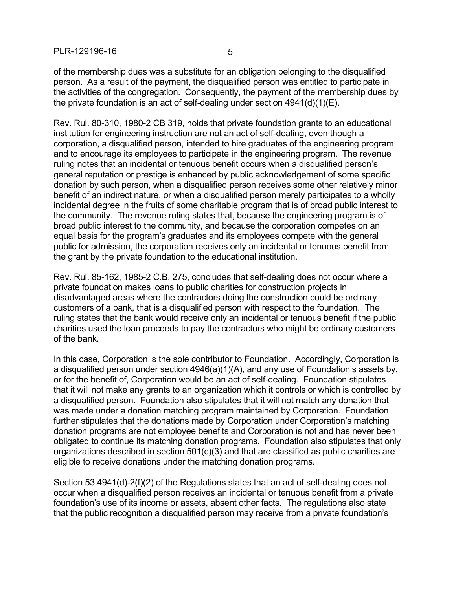of the membership dues was a substitute for an obligation belonging to the disqualified person. As a result of the payment, the disqualified person was entitled to participate in the activities of the congregation. Consequently, the payment of the membership dues by the private foundation is an act of self-dealing under section  $4941(d)(1)(E)$ .

Rev. Rul. 80-310, 1980-2 CB 319, holds that private foundation grants to an educational institution for engineering instruction are not an act of self-dealing, even though a corporation, a disqualified person, intended to hire graduates of the engineering program and to encourage its employees to participate in the engineering program. The revenue ruling notes that an incidental or tenuous benefit occurs when a disqualified person's general reputation or prestige is enhanced by public acknowledgement of some specific donation by such person, when a disqualified person receives some other relatively minor benefit of an indirect nature, or when a disqualified person merely participates to a wholly incidental degree in the fruits of some charitable program that is of broad public interest to the community. The revenue ruling states that, because the engineering program is of broad public interest to the community, and because the corporation competes on an equal basis for the program's graduates and its employees compete with the general public for admission, the corporation receives only an incidental or tenuous benefit from the grant by the private foundation to the educational institution.

Rev. Rul. 85-162, 1985-2 C.B. 275, concludes that self-dealing does not occur where a private foundation makes loans to public charities for construction projects in disadvantaged areas where the contractors doing the construction could be ordinary customers of a bank, that is a disqualified person with respect to the foundation. The ruling states that the bank would receive only an incidental or tenuous benefit if the public charities used the loan proceeds to pay the contractors who might be ordinary customers of the bank.

In this case, Corporation is the sole contributor to Foundation. Accordingly, Corporation is a disqualified person under section 4946(a)(1)(A), and any use of Foundation's assets by, or for the benefit of, Corporation would be an act of self-dealing. Foundation stipulates that it will not make any grants to an organization which it controls or which is controlled by a disqualified person. Foundation also stipulates that it will not match any donation that was made under a donation matching program maintained by Corporation. Foundation further stipulates that the donations made by Corporation under Corporation's matching donation programs are not employee benefits and Corporation is not and has never been obligated to continue its matching donation programs. Foundation also stipulates that only organizations described in section 501(c)(3) and that are classified as public charities are eligible to receive donations under the matching donation programs.

Section 53.4941(d)-2(f)(2) of the Regulations states that an act of self-dealing does not occur when a disqualified person receives an incidental or tenuous benefit from a private foundation's use of its income or assets, absent other facts. The regulations also state that the public recognition a disqualified person may receive from a private foundation's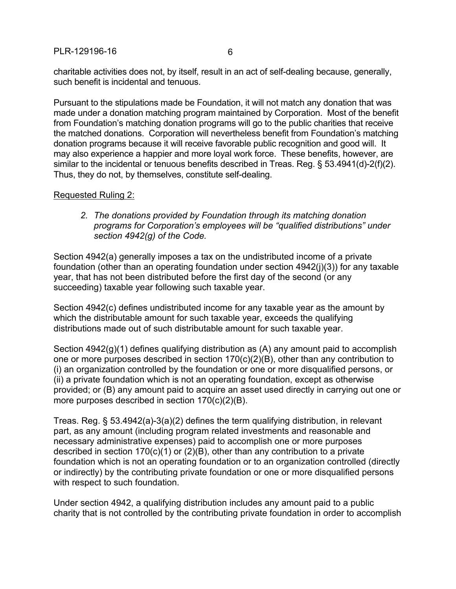charitable activities does not, by itself, result in an act of self-dealing because, generally, such benefit is incidental and tenuous.

Pursuant to the stipulations made be Foundation, it will not match any donation that was made under a donation matching program maintained by Corporation. Most of the benefit from Foundation's matching donation programs will go to the public charities that receive the matched donations. Corporation will nevertheless benefit from Foundation's matching donation programs because it will receive favorable public recognition and good will. It may also experience a happier and more loyal work force. These benefits, however, are similar to the incidental or tenuous benefits described in Treas. Reg. § 53.4941(d)-2(f)(2). Thus, they do not, by themselves, constitute self-dealing.

## Requested Ruling 2:

*2. The donations provided by Foundation through its matching donation programs for Corporation's employees will be "qualified distributions" under section 4942(g) of the Code.*

Section 4942(a) generally imposes a tax on the undistributed income of a private foundation (other than an operating foundation under section 4942(j)(3)) for any taxable year, that has not been distributed before the first day of the second (or any succeeding) taxable year following such taxable year.

Section 4942(c) defines undistributed income for any taxable year as the amount by which the distributable amount for such taxable year, exceeds the qualifying distributions made out of such distributable amount for such taxable year.

Section 4942(g)(1) defines qualifying distribution as (A) any amount paid to accomplish one or more purposes described in section 170(c)(2)(B), other than any contribution to (i) an organization controlled by the foundation or one or more disqualified persons, or (ii) a private foundation which is not an operating foundation, except as otherwise provided; or (B) any amount paid to acquire an asset used directly in carrying out one or more purposes described in section 170(c)(2)(B).

Treas. Reg. § 53.4942(a)-3(a)(2) defines the term qualifying distribution, in relevant part, as any amount (including program related investments and reasonable and necessary administrative expenses) paid to accomplish one or more purposes described in section  $170(c)(1)$  or  $(2)(B)$ , other than any contribution to a private foundation which is not an operating foundation or to an organization controlled (directly or indirectly) by the contributing private foundation or one or more disqualified persons with respect to such foundation.

Under section 4942, a qualifying distribution includes any amount paid to a public charity that is not controlled by the contributing private foundation in order to accomplish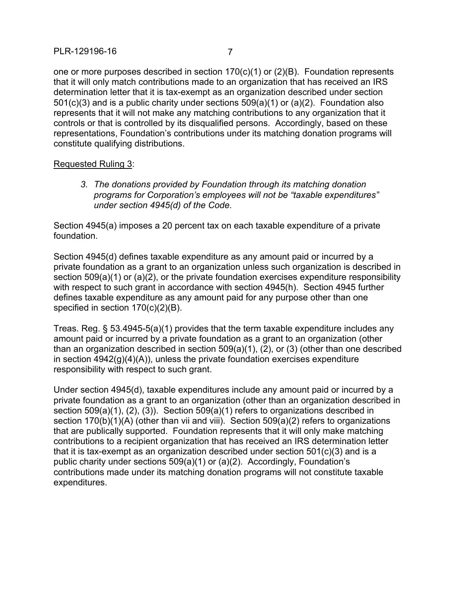one or more purposes described in section 170(c)(1) or (2)(B). Foundation represents that it will only match contributions made to an organization that has received an IRS determination letter that it is tax-exempt as an organization described under section 501(c)(3) and is a public charity under sections 509(a)(1) or (a)(2). Foundation also represents that it will not make any matching contributions to any organization that it controls or that is controlled by its disqualified persons. Accordingly, based on these representations, Foundation's contributions under its matching donation programs will constitute qualifying distributions.

#### Requested Ruling 3:

*3. The donations provided by Foundation through its matching donation programs for Corporation's employees will not be "taxable expenditures" under section 4945(d) of the Code.*

Section 4945(a) imposes a 20 percent tax on each taxable expenditure of a private foundation.

Section 4945(d) defines taxable expenditure as any amount paid or incurred by a private foundation as a grant to an organization unless such organization is described in section 509(a)(1) or (a)(2), or the private foundation exercises expenditure responsibility with respect to such grant in accordance with section 4945(h). Section 4945 further defines taxable expenditure as any amount paid for any purpose other than one specified in section 170(c)(2)(B).

Treas. Reg. § 53.4945-5(a)(1) provides that the term taxable expenditure includes any amount paid or incurred by a private foundation as a grant to an organization (other than an organization described in section 509(a)(1), (2), or (3) (other than one described in section 4942(g)(4)(A)), unless the private foundation exercises expenditure responsibility with respect to such grant.

Under section 4945(d), taxable expenditures include any amount paid or incurred by a private foundation as a grant to an organization (other than an organization described in section 509(a)(1), (2), (3)). Section 509(a)(1) refers to organizations described in section  $170(b)(1)(A)$  (other than vii and viii). Section  $509(a)(2)$  refers to organizations that are publically supported. Foundation represents that it will only make matching contributions to a recipient organization that has received an IRS determination letter that it is tax-exempt as an organization described under section 501(c)(3) and is a public charity under sections 509(a)(1) or (a)(2). Accordingly, Foundation's contributions made under its matching donation programs will not constitute taxable expenditures.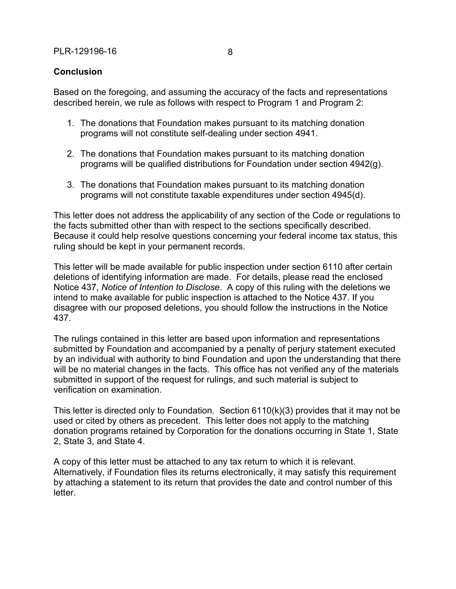# **Conclusion**

Based on the foregoing, and assuming the accuracy of the facts and representations described herein, we rule as follows with respect to Program 1 and Program 2:

- 1. The donations that Foundation makes pursuant to its matching donation programs will not constitute self-dealing under section 4941.
- 2. The donations that Foundation makes pursuant to its matching donation programs will be qualified distributions for Foundation under section 4942(g).
- 3. The donations that Foundation makes pursuant to its matching donation programs will not constitute taxable expenditures under section 4945(d).

This letter does not address the applicability of any section of the Code or regulations to the facts submitted other than with respect to the sections specifically described. Because it could help resolve questions concerning your federal income tax status, this ruling should be kept in your permanent records.

This letter will be made available for public inspection under section 6110 after certain deletions of identifying information are made. For details, please read the enclosed Notice 437, *Notice of Intention to Disclose*. A copy of this ruling with the deletions we intend to make available for public inspection is attached to the Notice 437. If you disagree with our proposed deletions, you should follow the instructions in the Notice 437.

The rulings contained in this letter are based upon information and representations submitted by Foundation and accompanied by a penalty of perjury statement executed by an individual with authority to bind Foundation and upon the understanding that there will be no material changes in the facts. This office has not verified any of the materials submitted in support of the request for rulings, and such material is subject to verification on examination.

This letter is directed only to Foundation. Section 6110(k)(3) provides that it may not be used or cited by others as precedent. This letter does not apply to the matching donation programs retained by Corporation for the donations occurring in State 1, State 2, State 3, and State 4.

A copy of this letter must be attached to any tax return to which it is relevant. Alternatively, if Foundation files its returns electronically, it may satisfy this requirement by attaching a statement to its return that provides the date and control number of this letter.